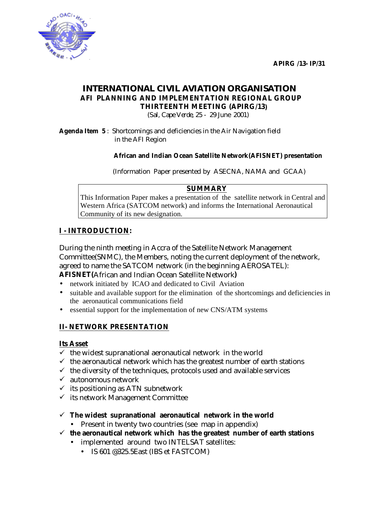**APIRG /13- IP/31** 



## *INTERNATIONAL CIVIL AVIATION ORGANISATION*  **AFI PLANNING AND IMPLEMENTATION REGIONAL GROUP THIRTEENTH MEETING (APIRG/13)**

*(Sal, Cape Verde, 25 - 29 June 2001)* 

**Agenda Item 5** : Shortcomings and deficiencies in the Air Navigation field in the AFI Region

#### **African and Indian Ocean Satellite Network(AFISNET) presentation**

(Information Paper presented by ASECNA, NAMA and GCAA)

#### **SUMMARY**

This Information Paper makes a presentation of the satellite network in Central and Western Africa (SATCOM network) and informs the International Aeronautical Community of its new designation.

#### **I - INTRODUCTION:**

During the ninth meeting in Accra of the Satellite Network Management Committee(SNMC), the Members, noting the current deployment of the network, agreed to name the SATCOM network (in the beginning AEROSATEL):

**AFISNET(**African and Indian Ocean Satellite Network**)**

- network initiated by ICAO and dedicated to Civil Aviation
- suitable and available support for the elimination of the shortcomings and deficiencies in the aeronautical communications field
- essential support for the implementation of new CNS/ATM systems

#### **II- NETWORK PRESENTATION**

#### **Its Asset**

- $\checkmark$  the widest supranational aeronautical network in the world
- $\checkmark$  the aeronautical network which has the greatest number of earth stations
- $\checkmark$  the diversity of the techniques, protocols used and available services
- $\checkmark$  autonomous network
- $\checkmark$  its positioning as ATN subnetwork
- $\checkmark$  its network Management Committee
- $\checkmark$  The widest supranational aeronautical network in the world
	- Present in twenty two countries (see map in appendix)
- $\checkmark$  the aeronautical network which has the greatest number of earth stations
	- implemented around two INTELSAT satellites:
		- IS 601 @325.5East (IBS et FASTCOM)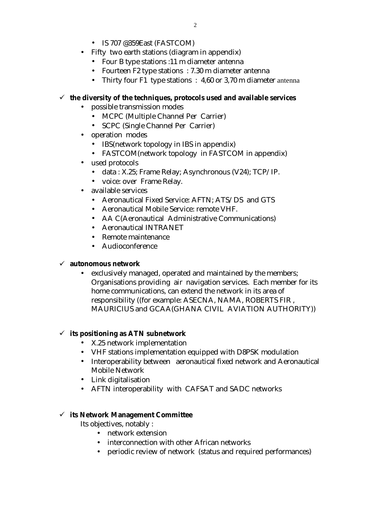- IS 707 @359East (FASTCOM)
- Fifty two earth stations (diagram in appendix)
	- Four B type stations :11 m diameter antenna
	- Fourteen F2 type stations : 7.30 m diameter antenna
	- Thirty four F1 type stations : 4,60 or 3,70 m diameter antenna

#### $\checkmark$  the diversity of the techniques, protocols used and available services

- possible transmission modes
	- MCPC (Multiple Channel Per Carrier)
	- SCPC (Single Channel Per Carrier)
- operation modes
	- IBS(network topology in IBS in appendix)
	- FASTCOM(network topology in FASTCOM in appendix)
- used protocols
	- data : X.25; Frame Relay; Asynchronous (V24); TCP/IP.
	- voice: over Frame Relay.
- available services
	- Aeronautical Fixed Service: AFTN; ATS/DS and GTS
	- Aeronautical Mobile Service: remote VHF.
	- AA C(Aeronautical Administrative Communications)
	- Aeronautical INTRANET
	- Remote maintenance
	- Audioconference

#### $\checkmark$  autonomous network

• exclusively managed, operated and maintained by the members; Organisations providing air navigation services. Each member for its home communications, can extend the network in its area of responsibility ((for example: ASECNA, NAMA, ROBERTS FIR , MAURICIUS and GCAA(GHANA CIVIL AVIATION AUTHORITY))

#### $\checkmark$  its positioning as ATN subnetwork

- X.25 network implementation
- VHF stations implementation equipped with D8PSK modulation
- Interoperability between aeronautical fixed network and Aeronautical Mobile Network
- Link digitalisation
- AFTN interoperability with CAFSAT and SADC networks

#### !"**its Network Management Committee**

Its objectives, notably :

- network extension
- interconnection with other African networks
- periodic review of network (status and required performances)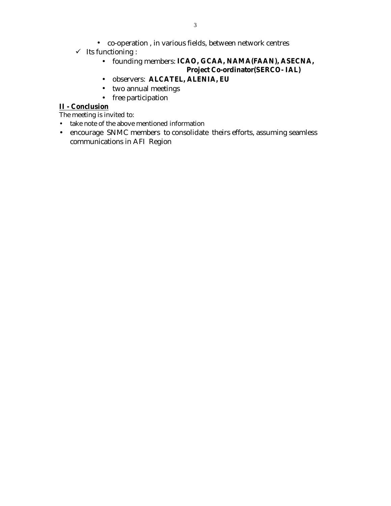- $\checkmark$  Its functioning :
	- founding members: **ICAO, GCAA, NAMA(FAAN), ASECNA, Project Co-ordinator(SERCO- IAL)**
	- observers: **ALCATEL, ALENIA, EU**
	- two annual meetings
	- free participation

## **II - Conclusion**

The meeting is invited to:

- take note of the above mentioned information
- encourage SNMC members to consolidate theirs efforts, assuming seamless communications in AFI Region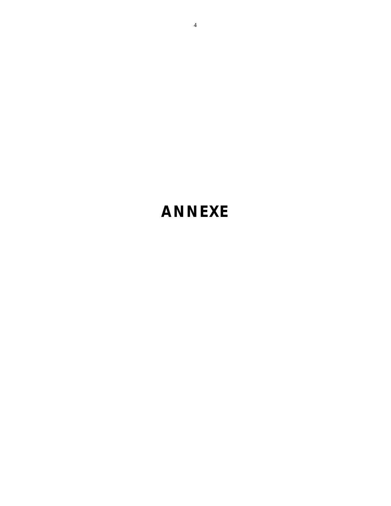# **ANNEXE**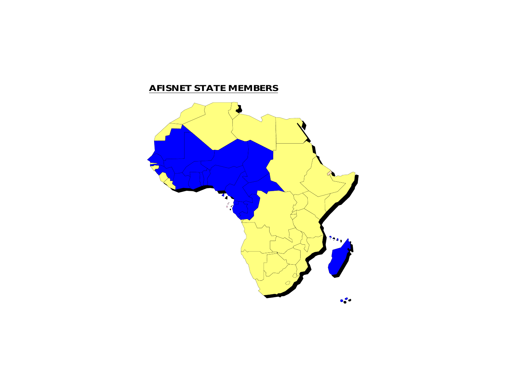# **AFISNET STATE MEMBERS**

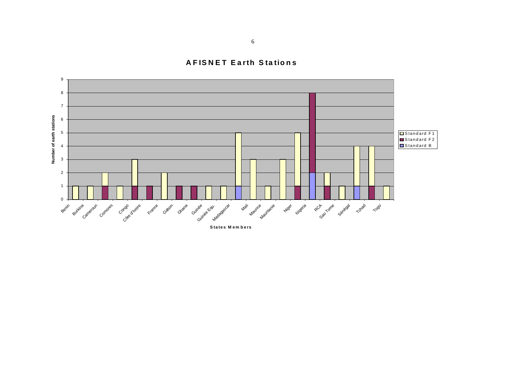**AFISNET Earth Stations** 

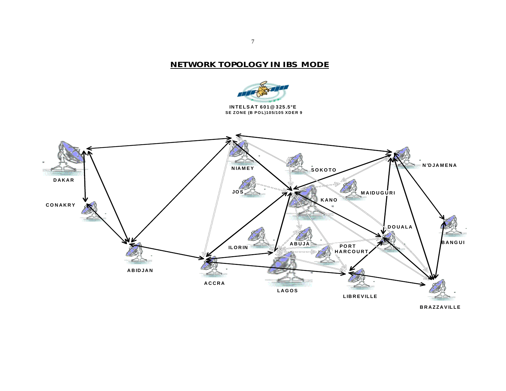#### **NETWORK TOPOLOGY IN IBS MODE**





**BRAZZAV ILLE**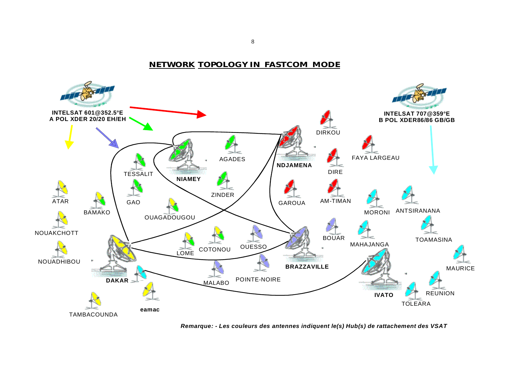**NETWORK TOPOLOGY IN FASTCOM MODE**



*Remarque: - Les couleurs des antennes indiquent le(s) Hub(s) de rattachement des VSAT*